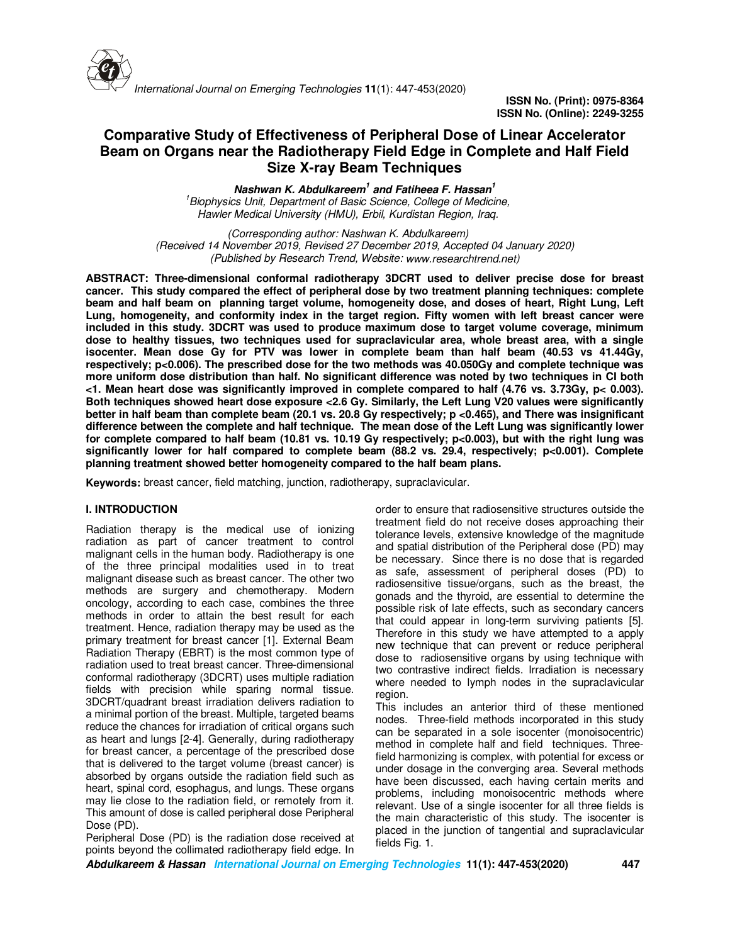

# **Comparative Study of Effectiveness of Peripheral Dose of Linear Accelerator Beam on Organs near the Radiotherapy Field Edge in Complete and Half Field Size X-ray Beam Techniques**

**Nashwan K. Abdulkareem<sup>1</sup> and Fatiheea F. Hassan<sup>1</sup>**

*<sup>1</sup>Biophysics Unit, Department of Basic Science, College of Medicine, Hawler Medical University (HMU), Erbil, Kurdistan Region, Iraq.* 

*(Corresponding author: Nashwan K. Abdulkareem) (Received 14 November 2019, Revised 27 December 2019, Accepted 04 January 2020) (Published by Research Trend, Website: www.researchtrend.net)* 

**ABSTRACT: Three-dimensional conformal radiotherapy 3DCRT used to deliver precise dose for breast cancer. This study compared the effect of peripheral dose by two treatment planning techniques: complete beam and half beam on planning target volume, homogeneity dose, and doses of heart, Right Lung, Left Lung, homogeneity, and conformity index in the target region. Fifty women with left breast cancer were included in this study. 3DCRT was used to produce maximum dose to target volume coverage, minimum dose to healthy tissues, two techniques used for supraclavicular area, whole breast area, with a single isocenter. Mean dose Gy for PTV was lower in complete beam than half beam (40.53 vs 41.44Gy, respectively; p<0.006). The prescribed dose for the two methods was 40.050Gy and complete technique was more uniform dose distribution than half. No significant difference was noted by two techniques in CI both <1. Mean heart dose was significantly improved in complete compared to half (4.76 vs. 3.73Gy, p< 0.003). Both techniques showed heart dose exposure <2.6 Gy. Similarly, the Left Lung V20 values were significantly better in half beam than complete beam (20.1 vs. 20.8 Gy respectively; p <0.465), and There was insignificant difference between the complete and half technique. The mean dose of the Left Lung was significantly lower for complete compared to half beam (10.81 vs. 10.19 Gy respectively; p<0.003), but with the right lung was significantly lower for half compared to complete beam (88.2 vs. 29.4, respectively; p<0.001). Complete planning treatment showed better homogeneity compared to the half beam plans.** 

**Keywords:** breast cancer, field matching, junction, radiotherapy, supraclavicular.

### **I. INTRODUCTION**

Radiation therapy is the medical use of ionizing radiation as part of cancer treatment to control malignant cells in the human body. Radiotherapy is one of the three principal modalities used in to treat malignant disease such as breast cancer. The other two methods are surgery and chemotherapy. Modern oncology, according to each case, combines the three methods in order to attain the best result for each treatment. Hence, radiation therapy may be used as the primary treatment for breast cancer [1]. External Beam Radiation Therapy (EBRT) is the most common type of radiation used to treat breast cancer. Three-dimensional conformal radiotherapy (3DCRT) uses multiple radiation fields with precision while sparing normal tissue. 3DCRT/quadrant breast irradiation delivers radiation to a minimal portion of the breast. Multiple, targeted beams reduce the chances for irradiation of critical organs such as heart and lungs [2-4]. Generally, during radiotherapy for breast cancer, a percentage of the prescribed dose that is delivered to the target volume (breast cancer) is absorbed by organs outside the radiation field such as heart, spinal cord, esophagus, and lungs. These organs may lie close to the radiation field, or remotely from it. This amount of dose is called peripheral dose Peripheral Dose (PD).

Peripheral Dose (PD) is the radiation dose received at points beyond the collimated radiotherapy field edge. In

order to ensure that radiosensitive structures outside the treatment field do not receive doses approaching their tolerance levels, extensive knowledge of the magnitude and spatial distribution of the Peripheral dose (PD) may be necessary. Since there is no dose that is regarded as safe, assessment of peripheral doses (PD) to radiosensitive tissue/organs, such as the breast, the gonads and the thyroid, are essential to determine the possible risk of late effects, such as secondary cancers that could appear in long-term surviving patients [5]. Therefore in this study we have attempted to a apply new technique that can prevent or reduce peripheral dose to radiosensitive organs by using technique with two contrastive indirect fields. Irradiation is necessary where needed to lymph nodes in the supraclavicular region.

This includes an anterior third of these mentioned nodes. Three-field methods incorporated in this study can be separated in a sole isocenter (monoisocentric) method in complete half and field techniques. Threefield harmonizing is complex, with potential for excess or under dosage in the converging area. Several methods have been discussed, each having certain merits and problems, including monoisocentric methods where relevant. Use of a single isocenter for all three fields is the main characteristic of this study. The isocenter is placed in the junction of tangential and supraclavicular fields Fig. 1.

**Abdulkareem & Hassan International Journal on Emerging Technologies 11(1): 447-453(2020) 447**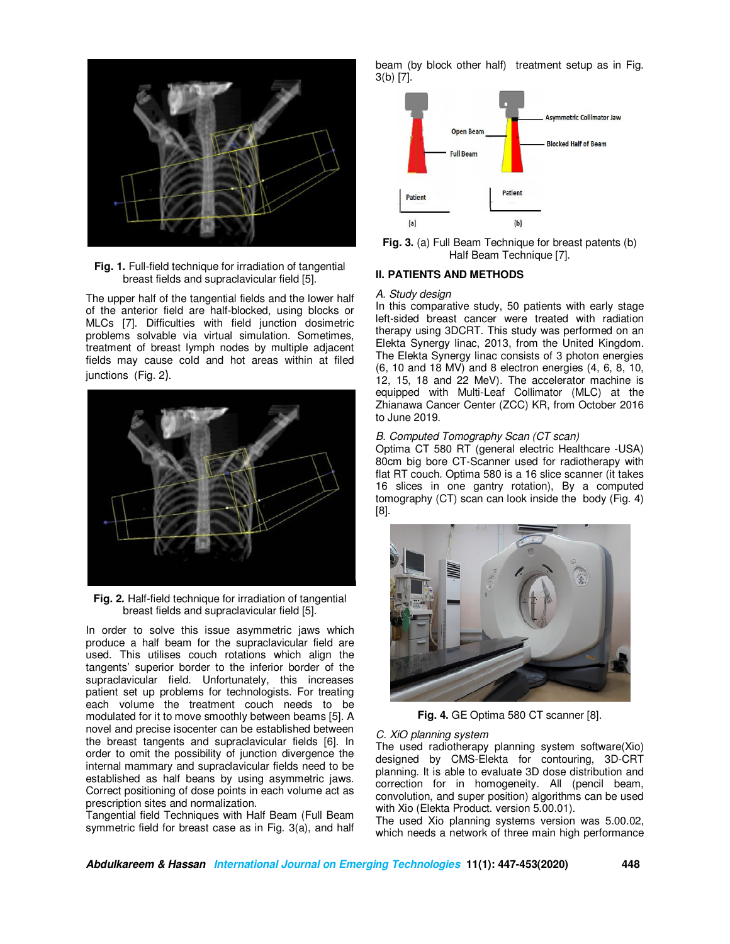

**Fig. 1.** Full-field technique for irradiation of tangential breast fields and supraclavicular field [5].

The upper half of the tangential fields and the lower half of the anterior field are half-blocked, using blocks or MLCs [7]. Difficulties with field junction dosimetric problems solvable via virtual simulation. Sometimes, treatment of breast lymph nodes by multiple adjacent fields may cause cold and hot areas within at filed junctions (Fig. 2).



**Fig. 2.** Half-field technique for irradiation of tangential breast fields and supraclavicular field [5].

In order to solve this issue asymmetric jaws which produce a half beam for the supraclavicular field are used. This utilises couch rotations which align the tangents' superior border to the inferior border of the supraclavicular field. Unfortunately, this increases patient set up problems for technologists. For treating each volume the treatment couch needs to be modulated for it to move smoothly between beams [5]. A novel and precise isocenter can be established between the breast tangents and supraclavicular fields [6]. In order to omit the possibility of junction divergence the internal mammary and supraclavicular fields need to be established as half beans by using asymmetric jaws. Correct positioning of dose points in each volume act as prescription sites and normalization.

Tangential field Techniques with Half Beam (Full Beam symmetric field for breast case as in Fig. 3(a), and half beam (by block other half) treatment setup as in Fig. 3(b) [7].



**Fig. 3.** (a) Full Beam Technique for breast patents (b) Half Beam Technique [7].

### **II. PATIENTS AND METHODS**

#### *A. Study design*

In this comparative study, 50 patients with early stage left-sided breast cancer were treated with radiation therapy using 3DCRT. This study was performed on an Elekta Synergy linac, 2013, from the United Kingdom. The Elekta Synergy linac consists of 3 photon energies (6, 10 and 18 MV) and 8 electron energies (4, 6, 8, 10, 12, 15, 18 and 22 MeV). The accelerator machine is equipped with Multi-Leaf Collimator (MLC) at the Zhianawa Cancer Center (ZCC) KR, from October 2016 to June 2019.

#### *B. Computed Tomography Scan (CT scan)*

Optima CT 580 RT (general electric Healthcare -USA) 80cm big bore CT-Scanner used for radiotherapy with flat RT couch. Optima 580 is a 16 slice scanner (it takes 16 slices in one gantry rotation), By a computed tomography (CT) scan can look inside the body (Fig. 4) [8].



**Fig. 4.** GE Optima 580 CT scanner [8].

#### *C. XiO planning system*

The used radiotherapy planning system software(Xio) designed by CMS-Elekta for contouring, 3D-CRT planning. It is able to evaluate 3D dose distribution and correction for in homogeneity. All (pencil beam, convolution, and super position) algorithms can be used with Xio (Elekta Product. version 5.00.01).

The used Xio planning systems version was 5.00.02, which needs a network of three main high performance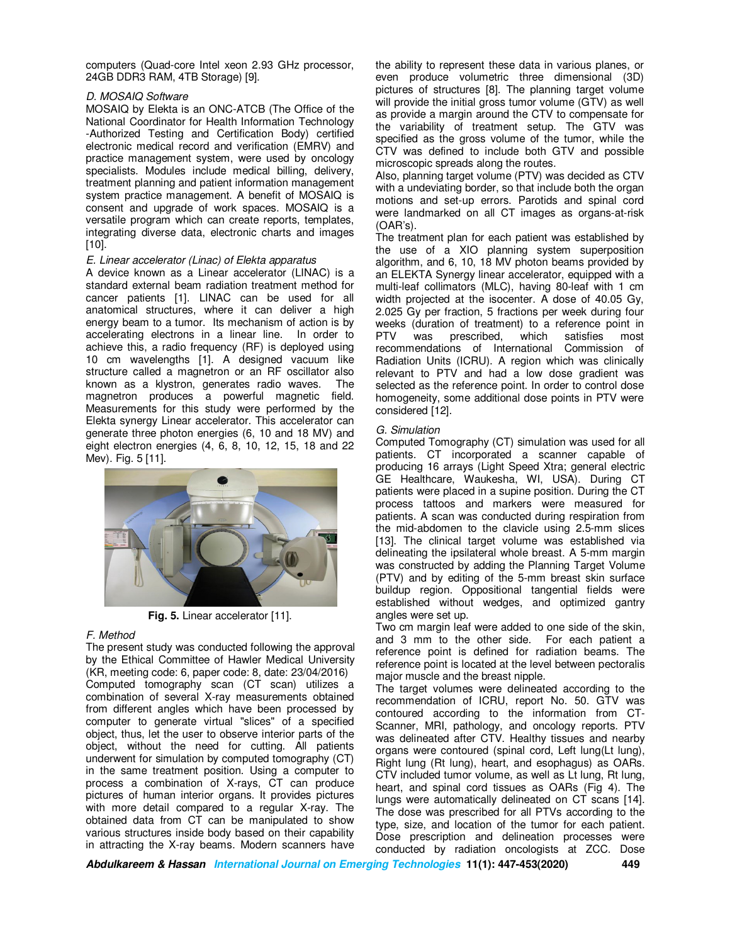computers (Quad-core Intel xeon 2.93 GHz processor, 24GB DDR3 RAM, 4TB Storage) [9].

#### *D. MOSAIQ Software*

MOSAIQ by Elekta is an ONC-ATCB (The Office of the National Coordinator for Health Information Technology -Authorized Testing and Certification Body) certified electronic medical record and verification (EMRV) and practice management system, were used by oncology specialists. Modules include medical billing, delivery, treatment planning and patient information management system practice management. A benefit of MOSAIQ is consent and upgrade of work spaces. MOSAIQ is a versatile program which can create reports, templates, integrating diverse data, electronic charts and images [10].

### *E. Linear accelerator (Linac) of Elekta apparatus*

A device known as a Linear accelerator (LINAC) is a standard external beam radiation treatment method for cancer patients [1]. LINAC can be used for all anatomical structures, where it can deliver a high energy beam to a tumor. Its mechanism of action is by accelerating electrons in a linear line. In order to achieve this, a radio frequency (RF) is deployed using 10 cm wavelengths [1]. A designed vacuum like structure called a magnetron or an RF oscillator also known as a klystron, generates radio waves. The magnetron produces a powerful magnetic field. Measurements for this study were performed by the Elekta synergy Linear accelerator. This accelerator can generate three photon energies (6, 10 and 18 MV) and eight electron energies (4, 6, 8, 10, 12, 15, 18 and 22 Mev). Fig. 5 [11].



**Fig. 5.** Linear accelerator [11].

### *F. Method*

The present study was conducted following the approval by the Ethical Committee of Hawler Medical University (KR, meeting code: 6, paper code: 8, date: 23/04/2016) Computed tomography scan (CT scan) utilizes a combination of several X-ray measurements obtained from different angles which have been processed by computer to generate virtual "slices" of a specified object, thus, let the user to observe interior parts of the object, without the need for cutting. All patients underwent for simulation by computed tomography (CT) in the same treatment position. Using a computer to process a combination of X-rays, CT can produce pictures of human interior organs. It provides pictures with more detail compared to a regular X-ray. The obtained data from CT can be manipulated to show various structures inside body based on their capability in attracting the X-ray beams. Modern scanners have

the ability to represent these data in various planes, or even produce volumetric three dimensional (3D) pictures of structures [8]. The planning target volume will provide the initial gross tumor volume (GTV) as well as provide a margin around the CTV to compensate for the variability of treatment setup. The GTV was specified as the gross volume of the tumor, while the CTV was defined to include both GTV and possible microscopic spreads along the routes.

Also, planning target volume (PTV) was decided as CTV with a undeviating border, so that include both the organ motions and set-up errors. Parotids and spinal cord were landmarked on all CT images as organs-at-risk (OAR's).

The treatment plan for each patient was established by the use of a XIO planning system superposition algorithm, and 6, 10, 18 MV photon beams provided by an ELEKTA Synergy linear accelerator, equipped with a multi-leaf collimators (MLC), having 80-leaf with 1 cm width projected at the isocenter. A dose of 40.05 Gy, 2.025 Gy per fraction, 5 fractions per week during four weeks (duration of treatment) to a reference point in PTV was prescribed, which satisfies most recommendations of International Commission of Radiation Units (ICRU). A region which was clinically relevant to PTV and had a low dose gradient was selected as the reference point. In order to control dose homogeneity, some additional dose points in PTV were considered [12].

### *G. Simulation*

Computed Tomography (CT) simulation was used for all patients. CT incorporated a scanner capable of producing 16 arrays (Light Speed Xtra; general electric GE Healthcare, Waukesha, WI, USA). During CT patients were placed in a supine position. During the CT process tattoos and markers were measured for patients. A scan was conducted during respiration from the mid-abdomen to the clavicle using 2.5-mm slices [13]. The clinical target volume was established via delineating the ipsilateral whole breast. A 5-mm margin was constructed by adding the Planning Target Volume (PTV) and by editing of the 5-mm breast skin surface buildup region. Oppositional tangential fields were established without wedges, and optimized gantry angles were set up.

Two cm margin leaf were added to one side of the skin, and 3 mm to the other side. For each patient a reference point is defined for radiation beams. The reference point is located at the level between pectoralis major muscle and the breast nipple.

The target volumes were delineated according to the recommendation of ICRU, report No. 50. GTV was contoured according to the information from CT-Scanner, MRI, pathology, and oncology reports. PTV was delineated after CTV. Healthy tissues and nearby organs were contoured (spinal cord, Left lung(Lt lung), Right lung (Rt lung), heart, and esophagus) as OARs. CTV included tumor volume, as well as Lt lung, Rt lung, heart, and spinal cord tissues as OARs (Fig 4). The lungs were automatically delineated on CT scans [14]. The dose was prescribed for all PTVs according to the type, size, and location of the tumor for each patient. Dose prescription and delineation processes were conducted by radiation oncologists at ZCC. Dose

**Abdulkareem & Hassan International Journal on Emerging Technologies 11(1): 447-453(2020) 449**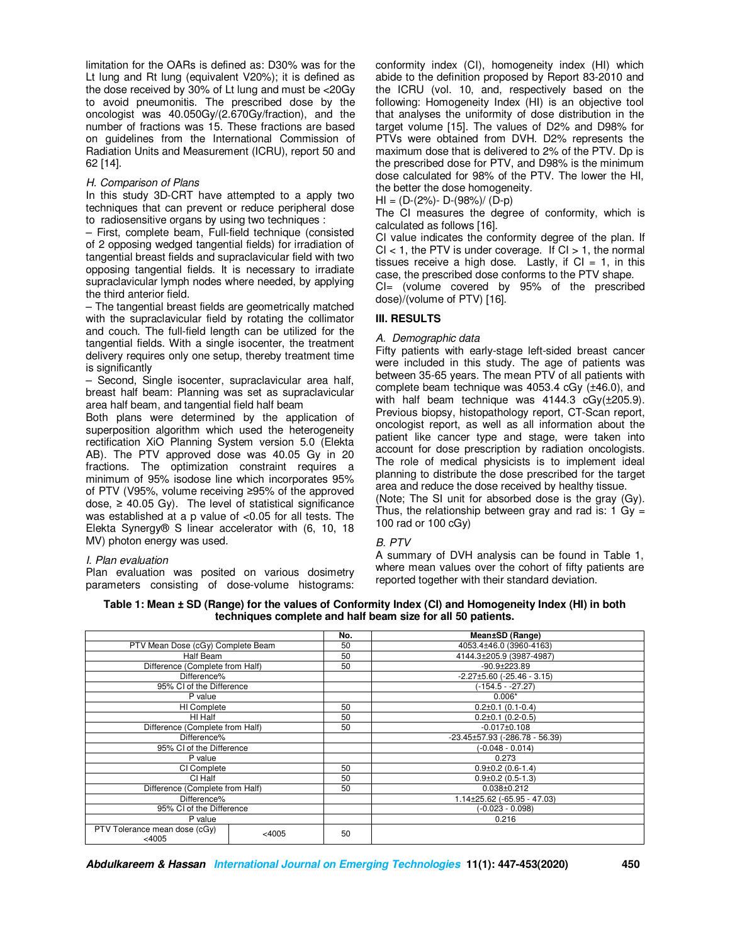limitation for the OARs is defined as: D30% was for the Lt lung and Rt lung (equivalent V20%); it is defined as the dose received by 30% of Lt lung and must be <20Gy to avoid pneumonitis. The prescribed dose by the oncologist was 40.050Gy/(2.670Gy/fraction), and the number of fractions was 15. These fractions are based on guidelines from the International Commission of Radiation Units and Measurement (ICRU), report 50 and 62 [14].

### *H. Comparison of Plans*

In this study 3D-CRT have attempted to a apply two techniques that can prevent or reduce peripheral dose to radiosensitive organs by using two techniques :

– First, complete beam, Full-field technique (consisted of 2 opposing wedged tangential fields) for irradiation of tangential breast fields and supraclavicular field with two opposing tangential fields. It is necessary to irradiate supraclavicular lymph nodes where needed, by applying the third anterior field.

– The tangential breast fields are geometrically matched with the supraclavicular field by rotating the collimator and couch. The full-field length can be utilized for the tangential fields. With a single isocenter, the treatment delivery requires only one setup, thereby treatment time is significantly

– Second, Single isocenter, supraclavicular area half, breast half beam: Planning was set as supraclavicular area half beam, and tangential field half beam

Both plans were determined by the application of superposition algorithm which used the heterogeneity rectification XiO Planning System version 5.0 (Elekta AB). The PTV approved dose was 40.05 Gy in 20 fractions. The optimization constraint requires a minimum of 95% isodose line which incorporates 95% of PTV (V95%, volume receiving ≥95% of the approved dose,  $\geq$  40.05 Gy). The level of statistical significance was established at a p value of <0.05 for all tests. The Elekta Synergy® S linear accelerator with (6, 10, 18 MV) photon energy was used.

### *I. Plan evaluation*

Plan evaluation was posited on various dosimetry parameters consisting of dose-volume histograms: conformity index (CI), homogeneity index (HI) which abide to the definition proposed by Report 83-2010 and the ICRU (vol. 10, and, respectively based on the following: Homogeneity Index (HI) is an objective tool that analyses the uniformity of dose distribution in the target volume [15]. The values of D2% and D98% for PTVs were obtained from DVH. D2% represents the maximum dose that is delivered to 2% of the PTV. Dp is the prescribed dose for PTV, and D98% is the minimum dose calculated for 98% of the PTV. The lower the HI, the better the dose homogeneity.

 $HI = (D-(2\%) - D-(98\%) / (D-p)$ 

The CI measures the degree of conformity, which is calculated as follows [16].

CI value indicates the conformity degree of the plan. If  $Cl < 1$ , the PTV is under coverage. If  $Cl > 1$ , the normal tissues receive a high dose. Lastly, if  $CI = 1$ , in this case, the prescribed dose conforms to the PTV shape. CI= (volume covered by 95% of the prescribed dose)/(volume of PTV) [16].

# **III. RESULTS**

### *A. Demographic data*

Fifty patients with early-stage left-sided breast cancer were included in this study. The age of patients was between 35-65 years. The mean PTV of all patients with complete beam technique was 4053.4 cGy (±46.0), and with half beam technique was 4144.3 cGy(±205.9). Previous biopsy, histopathology report, CT-Scan report, oncologist report, as well as all information about the patient like cancer type and stage, were taken into account for dose prescription by radiation oncologists. The role of medical physicists is to implement ideal planning to distribute the dose prescribed for the target area and reduce the dose received by healthy tissue. (Note; The SI unit for absorbed dose is the gray (Gy).

Thus, the relationship between gray and rad is:  $1 \text{ Gy} =$ 100 rad or 100 cGy)

### *B. PTV*

A summary of DVH analysis can be found in Table 1, where mean values over the cohort of fifty patients are reported together with their standard deviation.

**Table 1: Mean ± SD (Range) for the values of Conformity Index (CI) and Homogeneity Index (HI) in both techniques complete and half beam size for all 50 patients.** 

|                                           |          | No. | Mean±SD (Range)                          |  |  |  |
|-------------------------------------------|----------|-----|------------------------------------------|--|--|--|
| PTV Mean Dose (cGy) Complete Beam         |          | 50  | 4053.4±46.0 (3960-4163)                  |  |  |  |
| Half Beam                                 |          | 50  | 4144.3±205.9 (3987-4987)                 |  |  |  |
| Difference (Complete from Half)           |          | 50  | $-90.9 + 223.89$                         |  |  |  |
| Difference%                               |          |     | $-2.27\pm5.60$ ( $-25.46 - 3.15$ )       |  |  |  |
| 95% CI of the Difference                  |          |     | (-154.5 - -27.27)                        |  |  |  |
| P value                                   |          |     | $0.006*$                                 |  |  |  |
| HI Complete                               |          | 50  | $0.2\pm0.1$ (0.1-0.4)                    |  |  |  |
| HI Half                                   |          | 50  | $0.2\pm0.1$ (0.2-0.5)                    |  |  |  |
| Difference (Complete from Half)           |          | 50  | $-0.017 \pm 0.108$                       |  |  |  |
| Difference%                               |          |     | $-23.45 \pm 57.93$ ( $-286.78 - 56.39$ ) |  |  |  |
| 95% CI of the Difference                  |          |     | $(-0.048 - 0.014)$                       |  |  |  |
| P value                                   |          |     | 0.273                                    |  |  |  |
| CI Complete                               |          | 50  | $0.9\pm0.2$ (0.6-1.4)                    |  |  |  |
| CI Half                                   |          | 50  | $0.9\pm0.2$ (0.5-1.3)                    |  |  |  |
| Difference (Complete from Half)           |          | 50  | $0.038 + 0.212$                          |  |  |  |
| Difference%                               |          |     | $1.14\pm25.62$ (-65.95 - 47.03)          |  |  |  |
| 95% CI of the Difference                  |          |     | $(-0.023 - 0.098)$                       |  |  |  |
| P value                                   |          |     | 0.216                                    |  |  |  |
| PTV Tolerance mean dose (cGy)<br>$<$ 4005 | $<$ 4005 | 50  |                                          |  |  |  |

**Abdulkareem & Hassan International Journal on Emerging Technologies 11(1): 447-453(2020) 450**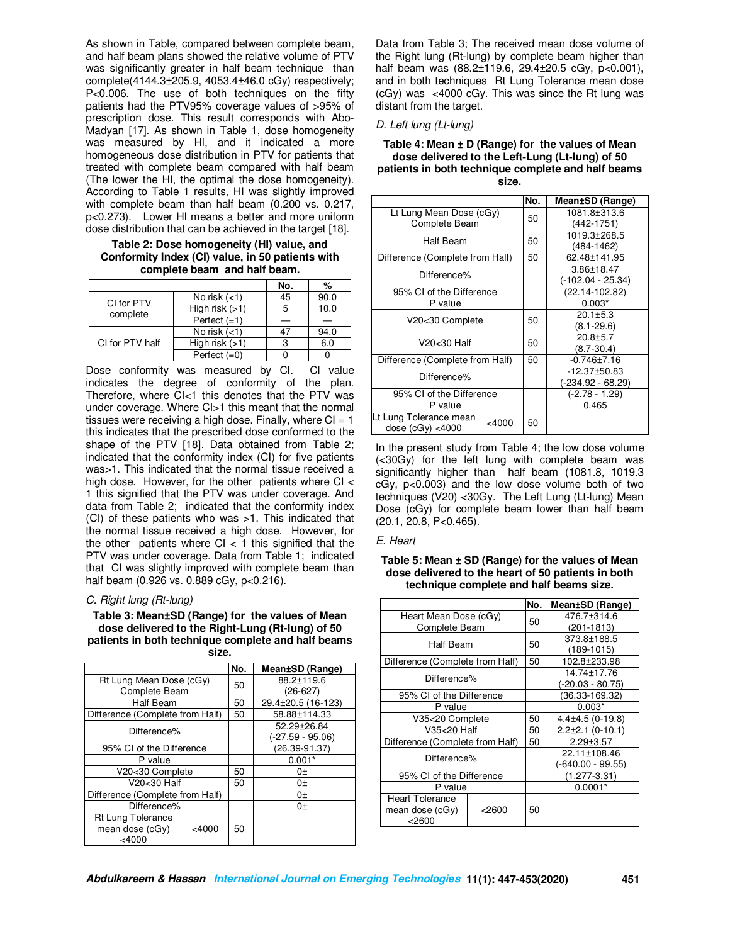As shown in Table, compared between complete beam, and half beam plans showed the relative volume of PTV was significantly greater in half beam technique than complete(4144.3±205.9, 4053.4±46.0 cGy) respectively; P<0.006. The use of both techniques on the fifty patients had the PTV95% coverage values of >95% of prescription dose. This result corresponds with Abo-Madyan [17]. As shown in Table 1, dose homogeneity was measured by HI, and it indicated a more homogeneous dose distribution in PTV for patients that treated with complete beam compared with half beam (The lower the HI, the optimal the dose homogeneity). According to Table 1 results, HI was slightly improved with complete beam than half beam (0.200 vs. 0.217, p<0.273). Lower HI means a better and more uniform dose distribution that can be achieved in the target [18].

**Table 2: Dose homogeneity (HI) value, and Conformity Index (CI) value, in 50 patients with complete beam and half beam.**

|                        |                  | No. | %    |
|------------------------|------------------|-----|------|
| CI for PTV<br>complete | No risk $(<1)$   | 45  | 90.0 |
|                        | High risk $(>1)$ |     | 10.0 |
|                        | Perfect $(=1)$   |     |      |
| CI for PTV half        | No risk $(<1)$   |     | 94.0 |
|                        | High risk $(>1)$ |     | 6.0  |
|                        | Perfect $(=0)$   |     |      |

Dose conformity was measured by CI. CI value indicates the degree of conformity of the plan. Therefore, where  $\tilde{C}$ k this denotes that the PTV was under coverage. Where CI>1 this meant that the normal tissues were receiving a high dose. Finally, where  $CI = 1$ this indicates that the prescribed dose conformed to the shape of the PTV [18]. Data obtained from Table 2; indicated that the conformity index (CI) for five patients was>1. This indicated that the normal tissue received a high dose. However, for the other patients where CI < 1 this signified that the PTV was under coverage. And data from Table 2; indicated that the conformity index (CI) of these patients who was >1. This indicated that the normal tissue received a high dose. However, for the other patients where  $Cl < 1$  this signified that the PTV was under coverage. Data from Table 1; indicated that CI was slightly improved with complete beam than half beam (0.926 vs. 0.889 cGy, p<0.216).

#### *C. Right lung (Rt-lung)*

**Table 3: Mean±SD (Range) for the values of Mean dose delivered to the Right-Lung (Rt-lung) of 50 patients in both technique complete and half beams size.** 

|                                 |       | No. | Mean±SD (Range)    |
|---------------------------------|-------|-----|--------------------|
| Rt Lung Mean Dose (cGy)         |       | 50  | 88.2±119.6         |
| Complete Beam                   |       |     | (26-627)           |
| Half Beam                       |       | 50  | 29.4±20.5 (16-123) |
| Difference (Complete from Half) |       | 50  | 58.88±114.33       |
| Difference%                     |       |     | 52.29+26.84        |
|                                 |       |     | (-27.59 - 95.06)   |
| 95% CI of the Difference        |       |     | $(26.39 - 91.37)$  |
| P value                         |       |     | $0.001*$           |
| V20<30 Complete                 |       | 50  | $0+$               |
| V20<30 Half                     |       | 50  | $0+$               |
| Difference (Complete from Half) |       |     | $0+$               |
| Difference%                     |       |     | $0+$               |
| Rt Lung Tolerance               |       |     |                    |
| mean dose (cGy)                 | <4000 | 50  |                    |
| $<$ 4000                        |       |     |                    |

Data from Table 3; The received mean dose volume of the Right lung (Rt-lung) by complete beam higher than half beam was (88.2±119.6, 29.4±20.5 cGy, p<0.001), and in both techniques Rt Lung Tolerance mean dose (cGy) was  $\lt$  4000 cGy. This was since the Rt lung was distant from the target.

### *D. Left lung (Lt-lung)*

#### **Table 4: Mean ± D (Range) for the values of Mean dose delivered to the Left-Lung (Lt-lung) of 50 patients in both technique complete and half beams si**z**e.**

|                                               |          | No. | Mean±SD (Range)                       |
|-----------------------------------------------|----------|-----|---------------------------------------|
| Lt Lung Mean Dose (cGy)<br>Complete Beam      |          | 50  | 1081.8±313.6<br>(442-1751)            |
| Half Beam                                     |          | 50  | 1019.3±268.5<br>(484-1462)            |
| Difference (Complete from Half)               |          | 50  | 62.48±141.95                          |
| Difference%                                   |          |     | 3.86±18.47<br>(-102.04 - 25.34)       |
| 95% CI of the Difference                      |          |     | (22.14-102.82)                        |
| P value                                       |          |     | $0.003*$                              |
| V20<30 Complete                               |          | 50  | $20.1 + 5.3$<br>$(8.1 - 29.6)$        |
| V20<30 Half                                   |          | 50  | $20.8 + 5.7$<br>$(8.7 - 30.4)$        |
| Difference (Complete from Half)               |          | 50  | $-0.746 \pm 7.16$                     |
| Difference%                                   |          |     | $-12.37\pm50.83$<br>(-234.92 - 68.29) |
| 95% CI of the Difference                      |          |     | (-2.78 - 1.29)                        |
| P value                                       |          |     | 0.465                                 |
| Lt Lung Tolerance mean<br>dose $(cGy) < 4000$ | $<$ 4000 | 50  |                                       |

In the present study from Table 4; the low dose volume (<30Gy) for the left lung with complete beam was significantly higher than half beam (1081.8, 1019.3 cGy, p<0.003) and the low dose volume both of two techniques (V20) <30Gy. The Left Lung (Lt-lung) Mean Dose (cGy) for complete beam lower than half beam (20.1, 20.8, P<0.465).

#### *E. Heart*

### **Table 5: Mean ± SD (Range) for the values of Mean dose delivered to the heart of 50 patients in both technique complete and half beams size.**

|                                 |        | No. | Mean±SD (Range)     |
|---------------------------------|--------|-----|---------------------|
| Heart Mean Dose (cGy)           |        |     | 476.7±314.6         |
| Complete Beam                   |        | 50  | (201-1813)          |
| Half Beam                       |        | 50  | 373.8±188.5         |
|                                 |        |     | $(189 - 1015)$      |
| Difference (Complete from Half) |        | 50  | 102.8±233.98        |
|                                 |        |     | 14.74±17.76         |
| Difference%                     |        |     | (-20.03 - 80.75)    |
| 95% CI of the Difference        |        |     | (36.33-169.32)      |
| P value                         |        |     | $0.003*$            |
| V35<20 Complete                 |        | 50  | $4.4\pm4.5(0-19.8)$ |
| V35<20 Half                     |        | 50  | $2.2\pm2.1(0-10.1)$ |
| Difference (Complete from Half) |        | 50  | $2.29 \pm 3.57$     |
| Difference%                     |        |     | 22.11±108.46        |
|                                 |        |     | (-640.00 - 99.55)   |
| 95% CI of the Difference        |        |     | (1.277-3.31)        |
| P value                         |        |     | $0.0001*$           |
| Heart Tolerance                 |        |     |                     |
| mean dose (cGy)                 | < 2600 | 50  |                     |
| $<$ 2600                        |        |     |                     |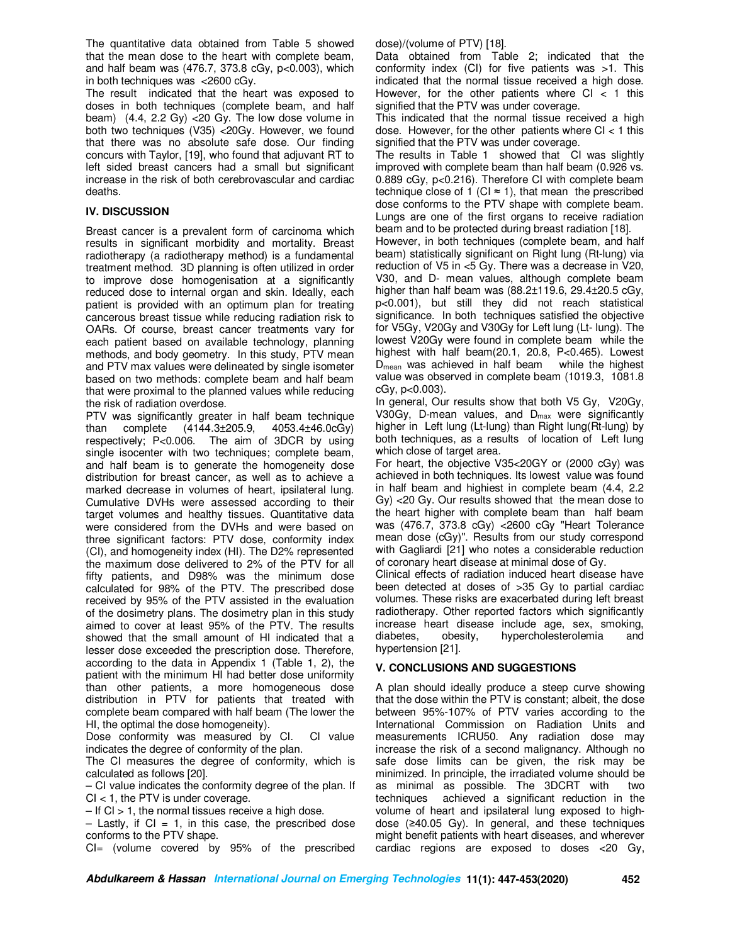The quantitative data obtained from Table 5 showed that the mean dose to the heart with complete beam, and half beam was (476.7, 373.8 cGy, p<0.003), which in both techniques was <2600 cGy.

The result indicated that the heart was exposed to doses in both techniques (complete beam, and half beam)  $(4.4, 2.2 \text{ Gy})$  <20 Gy. The low dose volume in both two techniques (V35) <20Gy. However, we found that there was no absolute safe dose. Our finding concurs with Taylor, [19], who found that adjuvant RT to left sided breast cancers had a small but significant increase in the risk of both cerebrovascular and cardiac deaths.

# **IV. DISCUSSION**

Breast cancer is a prevalent form of carcinoma which results in significant morbidity and mortality. Breast radiotherapy (a radiotherapy method) is a fundamental treatment method. 3D planning is often utilized in order to improve dose homogenisation at a significantly reduced dose to internal organ and skin. Ideally, each patient is provided with an optimum plan for treating cancerous breast tissue while reducing radiation risk to OARs. Of course, breast cancer treatments vary for each patient based on available technology, planning methods, and body geometry. In this study, PTV mean and PTV max values were delineated by single isometer based on two methods: complete beam and half beam that were proximal to the planned values while reducing the risk of radiation overdose.

PTV was significantly greater in half beam technique than complete (4144.3±205.9, 4053.4±46.0cGy) respectively; P<0.006. The aim of 3DCR by using single isocenter with two techniques; complete beam, and half beam is to generate the homogeneity dose distribution for breast cancer, as well as to achieve a marked decrease in volumes of heart, ipsilateral lung. Cumulative DVHs were assessed according to their target volumes and healthy tissues. Quantitative data were considered from the DVHs and were based on three significant factors: PTV dose, conformity index (CI), and homogeneity index (HI). The D2% represented the maximum dose delivered to 2% of the PTV for all fifty patients, and D98% was the minimum dose calculated for 98% of the PTV. The prescribed dose received by 95% of the PTV assisted in the evaluation of the dosimetry plans. The dosimetry plan in this study aimed to cover at least 95% of the PTV. The results showed that the small amount of HI indicated that a lesser dose exceeded the prescription dose. Therefore, according to the data in Appendix 1 (Table 1, 2), the patient with the minimum HI had better dose uniformity than other patients, a more homogeneous dose distribution in PTV for patients that treated with complete beam compared with half beam (The lower the HI, the optimal the dose homogeneity).

Dose conformity was measured by CI. CI value indicates the degree of conformity of the plan.

The CI measures the degree of conformity, which is calculated as follows [20].

– CI value indicates the conformity degree of the plan. If  $Cl < 1$ , the PTV is under coverage.

 $-$  If CI  $> 1$ , the normal tissues receive a high dose.

 $-$  Lastly, if CI = 1, in this case, the prescribed dose conforms to the PTV shape.

CI= (volume covered by 95% of the prescribed

dose)/(volume of PTV) [18].

Data obtained from Table 2; indicated that the conformity index (CI) for five patients was >1. This indicated that the normal tissue received a high dose. However, for the other patients where  $CI < 1$  this signified that the PTV was under coverage.

This indicated that the normal tissue received a high dose. However, for the other patients where  $Cl < 1$  this signified that the PTV was under coverage.

The results in Table 1 showed that CI was slightly improved with complete beam than half beam (0.926 vs. 0.889 cGy, p<0.216). Therefore CI with complete beam technique close of 1 (CI  $\approx$  1), that mean the prescribed dose conforms to the PTV shape with complete beam. Lungs are one of the first organs to receive radiation beam and to be protected during breast radiation [18].

However, in both techniques (complete beam, and half beam) statistically significant on Right lung (Rt-lung) via reduction of V5 in <5 Gy. There was a decrease in V20, V30, and D- mean values, although complete beam higher than half beam was (88.2±119.6, 29.4±20.5 cGy, p<0.001), but still they did not reach statistical significance. In both techniques satisfied the objective for V5Gy, V20Gy and V30Gy for Left lung (Lt- lung). The lowest V20Gy were found in complete beam while the highest with half beam(20.1, 20.8, P<0.465). Lowest  $D_{mean}$  was achieved in half beam while the highest value was observed in complete beam (1019.3, 1081.8 cGy, p<0.003).

In general, Our results show that both V5 Gy, V20Gy, V30Gy, D-mean values, and  $D_{\text{max}}$  were significantly higher in Left lung (Lt-lung) than Right lung(Rt-lung) by both techniques, as a results of location of Left lung which close of target area.

For heart, the objective V35<20GY or (2000 cGy) was achieved in both techniques. Its lowest value was found in half beam and highiest in complete beam (4.4, 2.2 Gy) <20 Gy. Our results showed that the mean dose to the heart higher with complete beam than half beam was (476.7, 373.8 cGy) <2600 cGy "Heart Tolerance mean dose (cGy)". Results from our study correspond with Gagliardi [21] who notes a considerable reduction of coronary heart disease at minimal dose of Gy.

Clinical effects of radiation induced heart disease have been detected at doses of >35 Gy to partial cardiac volumes. These risks are exacerbated during left breast radiotherapy. Other reported factors which significantly increase heart disease include age, sex, smoking, diabetes, obesity, hypercholesterolemia and hypertension [21].

# **V. CONCLUSIONS AND SUGGESTIONS**

A plan should ideally produce a steep curve showing that the dose within the PTV is constant; albeit, the dose between 95%-107% of PTV varies according to the International Commission on Radiation Units and measurements ICRU50. Any radiation dose may increase the risk of a second malignancy. Although no safe dose limits can be given, the risk may be minimized. In principle, the irradiated volume should be as minimal as possible. The 3DCRT with two techniques achieved a significant reduction in the volume of heart and ipsilateral lung exposed to highdose (≥40.05 Gy). In general, and these techniques might benefit patients with heart diseases, and wherever cardiac regions are exposed to doses <20 Gy,